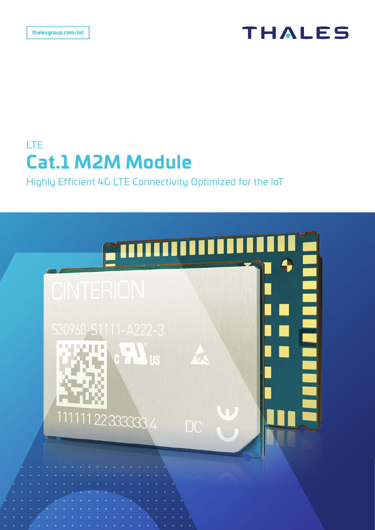## **THALES**

## LTE **Cat.1 M2M Module**

## Highly Efficient 4G LTE Connectivity Optimized for the IoT

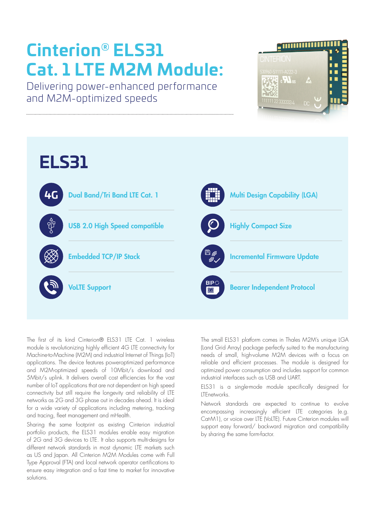# **Cinterion® ELS31 Cat. 1 LTE M2M Module:**

Delivering power-enhanced performance and M2M-optimized speeds





The first of its kind Cinterion® ELS31 LTE Cat. 1 wireless module is revolutionizing highly efficient 4G LTE connectivity for Machine-to-Machine (M2M) and industrial Internet of Things (IoT) applications. The device features poweroptimized performance and M2M-optimized speeds of 10Mbit/s download and 5Mbit/s uplink. It delivers overall cost efficiencies for the vast number of IoT applications that are not dependent on high speed connectivity but still require the longevity and reliability of LTE networks as 2G and 3G phase out in decades ahead. It is ideal for a wide variety of applications including metering, tracking and tracing, fleet management and mHealth.

Sharing the same footprint as existing Cinterion industrial portfolio products, the ELS31 modules enable easy migration of 2G and 3G devices to LTE. It also supports multi-designs for different network standards in most dynamic LTE markets such as US and Japan. All Cinterion M2M Modules come with Full Type Approval (FTA) and local network operator certifications to ensure easy integration and a fast time to market for innovative solutions.

The small ELS31 platform comes in Thales M2M's unique LGA (Land Grid Array) package perfectly suited to the manufacturing needs of small, high-volume M2M devices with a focus on reliable and efficient processes. The module is designed for optimized power consumption and includes support for common industrial interfaces such as USB and UART.

ELS31 is a single-mode module specifically designed for LTEnetworks.

Network standards are expected to continue to evolve encompassing increasingly efficient LTE categories (e.g. Cat-M1), or voice over LTE (VoLTE). Future Cinterion modules will support easy forward/ backward migration and compatibility by sharing the same form-factor.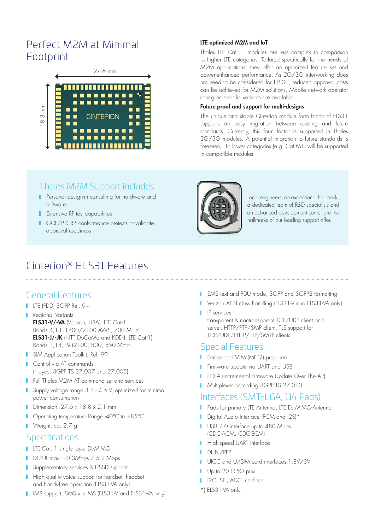## Perfect M2M at Minimal Footprint



#### LTE optimized M2M and IoT

Thales LTE Cat. 1 modules are less complex in comparison to higher LTE categories. Tailored specifically for the needs of M2M applications, they offer an optimized feature set and power-enhanced performance. As 2G/3G interworking does not need to be considered for ELS31, reduced approval costs can be achieved for M2M solutions. Mobile network operator or region specific variants are available.

#### Future proof and support for multi-designs

The unique and stable Cinterion module form factor of ELS31 supports an easy migration between existing and future standards. Currently, this form factor is supported in Thales 2G/3G modules. A potential migration to future standards is foreseen, LTE lower categories (e.g. Cat.M1) will be supported in compatible modules.

## Thales M2M Support includes:

- **Personal design-in consulting for hardware and** software
- **Extensive RF test capabilities**
- **I** GCF/PTCRB conformance pretests to validate approval readiness



Local engineers, an exceptional helpdesk, a dedicated team of R&D specialists and an advanced development center are the hallmarks of our leading support offer.

## Cinterion® ELS31 Features

## General Features

- LTE (FDD) 3GPP Rel. 9+
- **Regional Variants:** ELS31-V/-VA (Verizon, USA): LTE Cat-1 Bands 4,13 (1700/2100 AWS, 700 MHz) ELS31-J/-JK (NTT DoCoMo and KDDI): LTE Cat-1) Bands 1,18,19 (2100, 800, 850 MHz)
- **SIM Application Toolkit, Rel. 99**
- **Control via AT commands** (Hayes, 3GPP TS 27.007 and 27.005)
- **Full Thales M2M AT command set and services**
- **Supply voltage range 3.3 4.5 V, optimized for minimal** power consumption
- **Dimension: 27.6 x 18.8 x 2.1 mm**
- Operating temperature Range -40°C to +85°C
- Weight: ca. 2.7 g

#### Specifications

- **LTE Cat. 1 single layer DL-MIMO**
- DL/UL max: 10.3Mbps / 5.2 Mbps
- **I** Supplementary services & USSD support
- **High quality voice support for handset, headset** and hands-free operation (ELS31-VA only)
- IMS support, SMS via IMS (ELS31-V and ELS31-VA only)
- **I** SMS text and PDU mode, 3GPP and 3GPP2 formatting
- Verizon APN class handling (ELS31-V and ELS31-VA only)
- **I** IP services

transparent & nontransparent TCP/UDP client and server, HTTP/FTP/SMP client, TLS support for TCP/UDP/HTTP/FTP/SMTP clients

#### Special Features

- **FR** Embedded MIM (MFF2) prepared
- **Firmware update via UART and USB**
- **FOTA (Incremental Firmware Update Over The Air)**
- **Multiplexer according 3GPP TS 27.010**

### Interfaces (SMT-LGA, 114 Pads)

- **Pads for primary LTE Antenna, LTE DL MIMO-Antenna**
- Digital Audio Interface (PCM and I2S)\*
- USB 2.0 interface up to 480 Mbps (CDC-ACM, CDC-ECM)
- **High-speed UART interface**
- **DUN/PPP**
- UICC and U/SIM card interfaces 1.8V/3V
- Up to 20 GPIO pins
- **I** I2C, SPI, ADC interface
- \*) ELS31-VA only